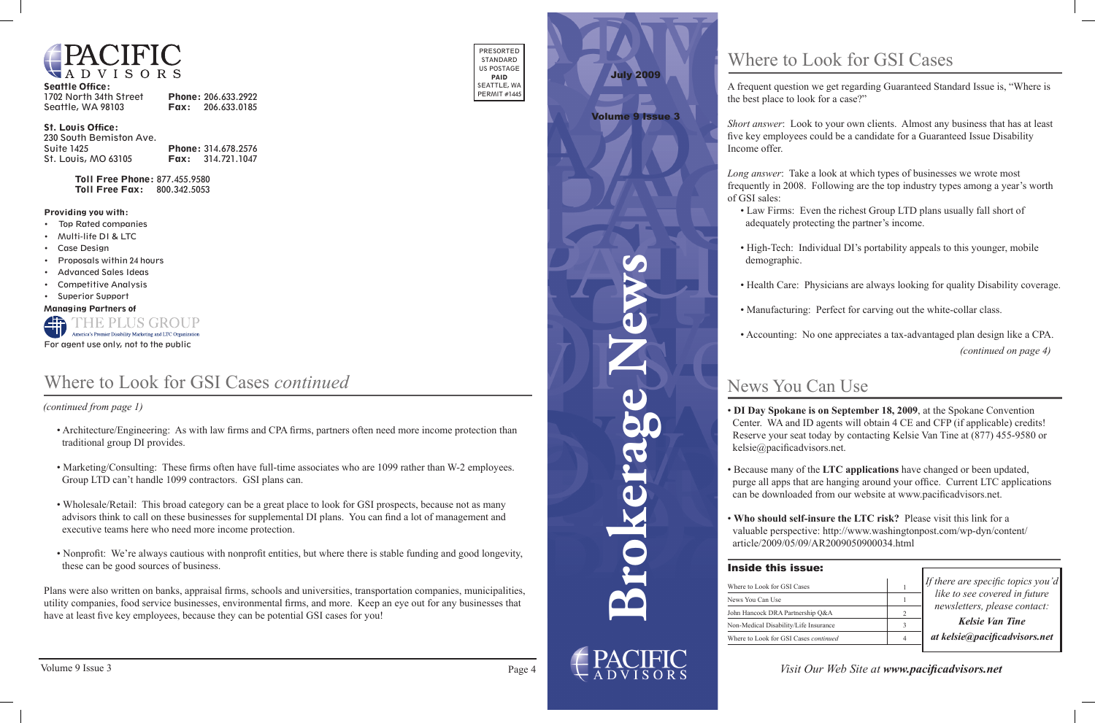

| <b>Seattle Office:</b> |                          |
|------------------------|--------------------------|
| 1702 North 34th Street | Phone: 206.633.2922      |
| Seattle, WA 98103      | <b>Fax:</b> 206.633.0185 |

#### St. Louis Office:

| 230 South Bemiston Ave. |                            |
|-------------------------|----------------------------|
| Suite 1425              | Phone: 314.678.2576        |
| St. Louis, MO 63105     | <b>Fax:</b> $314.721.1047$ |

Toll Free Phone: 877.455.9580 Toll Free Fax: 800.342.5053

PRESORTED STANDARD US POSTAGE PAID SEATTLE, WA PERMIT #1445

#### Providing you with:

- • Top Rated companies
- • Multi-life DI & LTC
- • Case Design
- Proposals within 24 hours
- • Advanced Sales Ideas
- • Competitive Analysis
- • Superior Support

Managing Partners of



For agent use only, not to the public

**Brokerage News**

# News You Can Use

*If there are specific topics you'd like to see covered in future newsletters, please contact:*

*Kelsie Van Tine at kelsie@pacificadvisors.net*

### Inside this issue:

*Visit Our Web Site at www.pacificadvisors.net*

July 2009

## Volume 9 Issue 3

• **DI Day Spokane is on September 18, 2009**, at the Spokane Convention Center. WA and ID agents will obtain 4 CE and CFP (if applicable) credits! Reserve your seat today by contacting Kelsie Van Tine at (877) 455-9580 or kelsie@pacificadvisors.net.

• Because many of the **LTC applications** have changed or been updated, purge all apps that are hanging around your office. Current LTC applications can be downloaded from our website at www.pacificadvisors.net.

• **Who should self-insure the LTC risk?** Please visit this link for a valuable perspective: http://www.washingtonpost.com/wp-dyn/content/ article/2009/05/09/AR2009050900034.html

| Where to Look for GSI Cases                  |  |
|----------------------------------------------|--|
| News You Can Use                             |  |
| John Hancock DRA Partnership O&A             |  |
| Non-Medical Disability/Life Insurance        |  |
| Where to Look for GSI Cases <i>continued</i> |  |
|                                              |  |

A frequent question we get regarding Guaranteed Standard Issue is, "Where is the best place to look for a case?"

*Short answer*: Look to your own clients. Almost any business that has at least five key employees could be a candidate for a Guaranteed Issue Disability

*(continued on page 4)* • Accounting: No one appreciates a tax-advantaged plan design like a CPA.



*Long answer*: Take a look at which types of businesses we wrote most frequently in 2008. Following are the top industry types among a year's worth of GSI sales:

 • Law Firms: Even the richest Group LTD plans usually fall short of adequately protecting the partner's income.

• High-Tech: Individual DI's portability appeals to this younger, mobile

- 
- demographic.
- 
- 
- 

- 
- 
- 

• Health Care: Physicians are always looking for quality Disability coverage.

• Manufacturing: Perfect for carving out the white-collar class.

# Where to Look for GSI Cases

 *(continued from page 1)*

# Where to Look for GSI Cases *continued*

- Architecture/Engineering: As with law firms and CPA firms, partners often need more income protection than traditional group DI provides.
- Marketing/Consulting: These firms often have full-time associates who are 1099 rather than W-2 employees. Group LTD can't handle 1099 contractors. GSI plans can.
- Wholesale/Retail: This broad category can be a great place to look for GSI prospects, because not as many advisors think to call on these businesses for supplemental DI plans. You can find a lot of management and executive teams here who need more income protection.
- Nonprofit: We're always cautious with nonprofit entities, but where there is stable funding and good longevity, these can be good sources of business.

 utility companies, food service businesses, environmental firms, and more. Keep an eye out for any businesses that Plans were also written on banks, appraisal firms, schools and universities, transportation companies, municipalities, have at least five key employees, because they can be potential GSI cases for you!